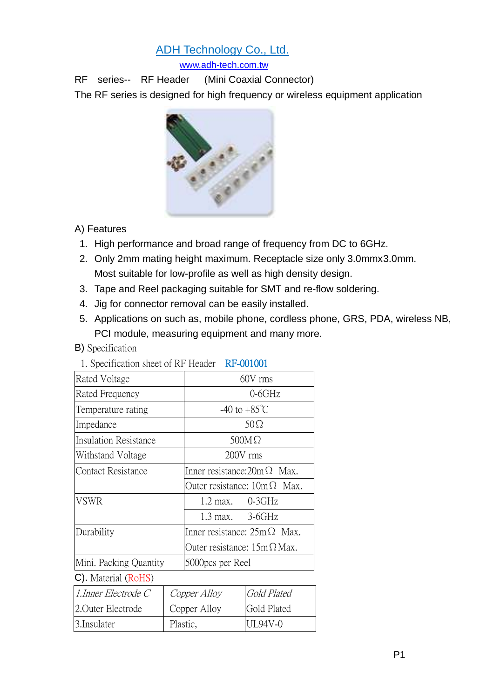# ADH Technology Co., Ltd.

[www.adh-tech.com.tw](http://www.adh-tech.com.tw/)

RF series-- RF Header (Mini Coaxial Connector)

The RF series is designed for high frequency or wireless equipment application



# A) Features

- 1. High performance and broad range of frequency from DC to 6GHz.
- 2. Only 2mm mating height maximum. Receptacle size only 3.0mmx3.0mm. Most suitable for low-profile as well as high density design.
- 3. Tape and Reel packaging suitable for SMT and re-flow soldering.
- 4. Jig for connector removal can be easily installed.
- 5. Applications on such as, mobile phone, cordless phone, GRS, PDA, wireless NB, PCI module, measuring equipment and many more.

### B) Specification

| 1. Specification sheet of its Ticage!                       | <u>IN WULVUL</u>                   |  |
|-------------------------------------------------------------|------------------------------------|--|
| Rated Voltage                                               | 60V rms                            |  |
| Rated Frequency                                             | $0-6GHz$                           |  |
| Temperature rating                                          | $-40$ to $+85^{\circ}$ C           |  |
| Impedance                                                   | $50\Omega$                         |  |
| <b>Insulation Resistance</b>                                | $500M\Omega$                       |  |
| Withstand Voltage                                           | 200V rms                           |  |
| Contact Resistance                                          | Inner resistance: $20m\Omega$ Max. |  |
|                                                             | Outer resistance: $10m\Omega$ Max. |  |
| <b>VSWR</b>                                                 | $1.2$ max. $0-3GHz$                |  |
|                                                             | $1.3 \text{ max.}$ 3-6GHz          |  |
| Durability                                                  | Inner resistance: $25m\Omega$ Max. |  |
|                                                             | Outer resistance: $15m\Omega$ Max. |  |
| Mini. Packing Quantity                                      | 5000 pcs per Reel                  |  |
| $\bigcap_{i=1}^n$ is $\bigcup_{i=1}^n$ if $\bigcap_{i=1}^n$ |                                    |  |

1. Specification sheet of RF Header RF-001001

C). Material (RoHS)

| $l$ . Inner Electrode C | Copper Alloy | Gold Plated |
|-------------------------|--------------|-------------|
| 2. Outer Electrode      | Copper Alloy | Gold Plated |
| 3. Insulater            | Plastic,     | UL94V-0     |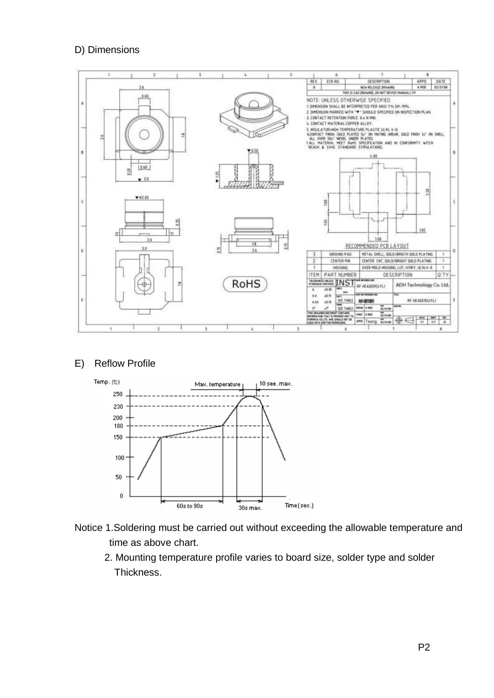### D) Dimensions



#### E) Reflow Profile



- Notice 1.Soldering must be carried out without exceeding the allowable temperature and time as above chart.
	- 2. Mounting temperature profile varies to board size, solder type and solder Thickness.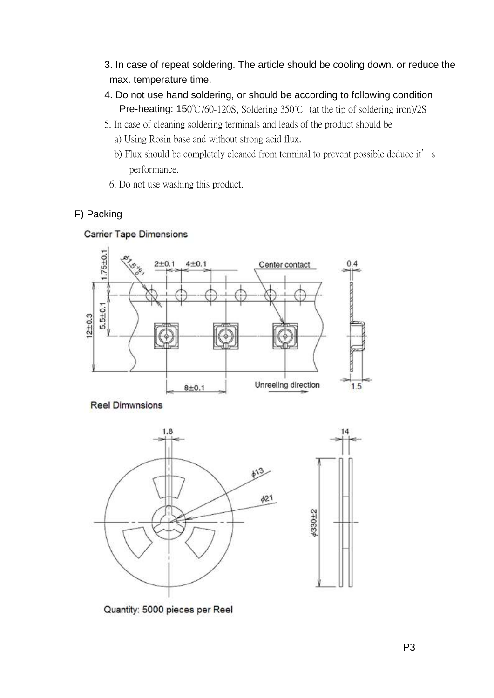- 3. In case of repeat soldering. The article should be cooling down. or reduce the max. temperature time.
- 4. Do not use hand soldering, or should be according to following condition Pre-heating: 150℃/60-120S, Soldering 350℃ (at the tip of soldering iron)/2S
- 5. In case of cleaning soldering terminals and leads of the product should be
	- a) Using Rosin base and without strong acid flux.
	- b) Flux should be completely cleaned from terminal to prevent possible deduce it's performance.
	- 6. Do not use washing this product.

# F) Packing





**Reel Dimwnsions** 



Quantity: 5000 pieces per Reel